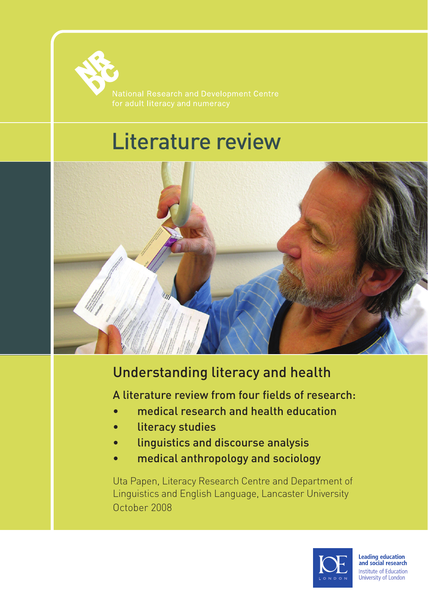

# Literature review



# Understanding literacy and health

A literature review from four fields of research:

- medical research and health education
- literacy studies
- linguistics and discourse analysis
- medical anthropology and sociology

Uta Papen, Literacy Research Centre and Department of Linguistics and English Language, Lancaster University October 2008

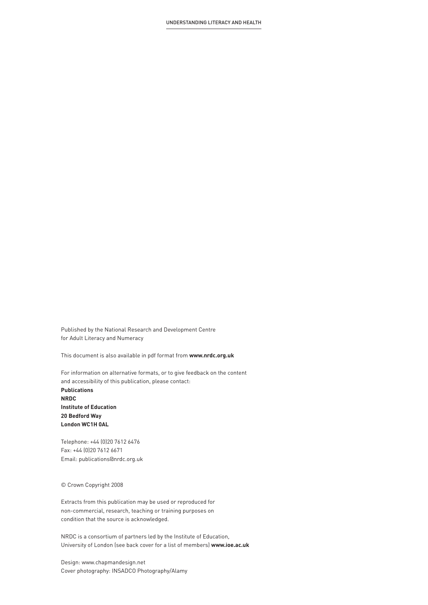Published by the National Research and Development Centre for Adult Literacy and Numeracy

This document is also available in pdf format from **www.nrdc.org.uk** 

For information on alternative formats, or to give feedback on the content and accessibility of this publication, please contact: **Publications NRDC Institute of Education 20 Bedford Way London WC1H 0AL**

Telephone: +44 (0)20 7612 6476 Fax: +44 (0)20 7612 6671 Email: publications@nrdc.org.uk

© Crown Copyright 2008

Extracts from this publication may be used or reproduced for non-commercial, research, teaching or training purposes on condition that the source is acknowledged.

NRDC is a consortium of partners led by the Institute of Education, University of London (see back cover for a list of members) **www.ioe.ac.uk**

Design: www.chapmandesign.net Cover photography: INSADCO Photography/Alamy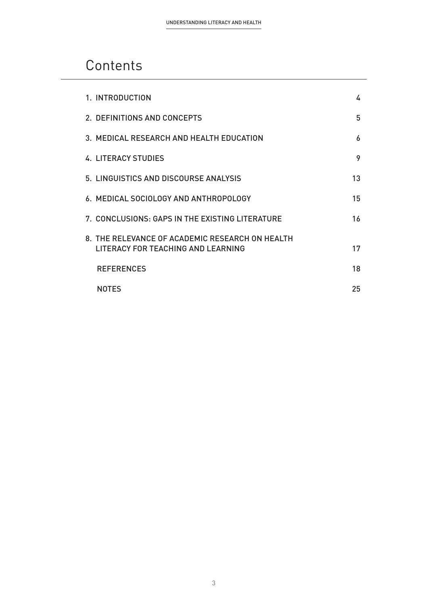## **Contents**

| 1. INTRODUCTION                                                                       | 4  |
|---------------------------------------------------------------------------------------|----|
| 2. DEFINITIONS AND CONCEPTS                                                           | 5  |
| 3. MEDICAL RESEARCH AND HEALTH EDUCATION                                              | 6  |
| <b>4. LITERACY STUDIES</b>                                                            | 9  |
| 5. LINGUISTICS AND DISCOURSE ANALYSIS                                                 | 13 |
| 6. MEDICAL SOCIOLOGY AND ANTHROPOLOGY                                                 | 15 |
| 7. CONCLUSIONS: GAPS IN THE EXISTING LITERATURE                                       | 16 |
| 8. THE RELEVANCE OF ACADEMIC RESEARCH ON HEALTH<br>LITERACY FOR TEACHING AND LEARNING | 17 |
| <b>REFERENCES</b>                                                                     | 18 |
| <b>NOTFS</b>                                                                          | 25 |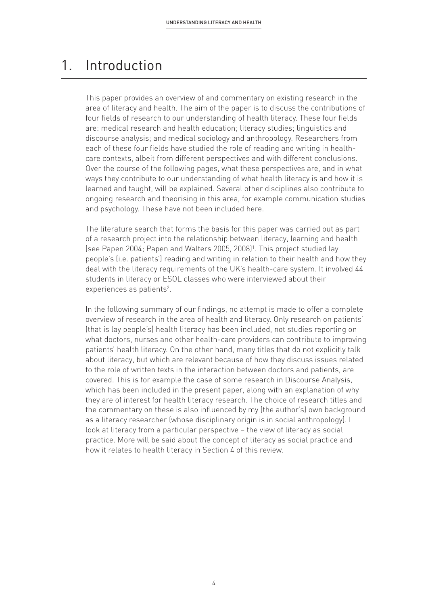### 1. Introduction

This paper provides an overview of and commentary on existing research in the area of literacy and health. The aim of the paper is to discuss the contributions of four fields of research to our understanding of health literacy. These four fields are: medical research and health education; literacy studies; linguistics and discourse analysis; and medical sociology and anthropology. Researchers from each of these four fields have studied the role of reading and writing in healthcare contexts, albeit from different perspectives and with different conclusions. Over the course of the following pages, what these perspectives are, and in what ways they contribute to our understanding of what health literacy is and how it is learned and taught, will be explained. Several other disciplines also contribute to ongoing research and theorising in this area, for example communication studies and psychology. These have not been included here.

The literature search that forms the basis for this paper was carried out as part of a research project into the relationship between literacy, learning and health (see Papen 2004; Papen and Walters 2005, 2008)1. This project studied lay people's (i.e. patients') reading and writing in relation to their health and how they deal with the literacy requirements of the UK's health-care system. It involved 44 students in literacy or ESOL classes who were interviewed about their experiences as patients<sup>2</sup>.

In the following summary of our findings, no attempt is made to offer a complete overview of research in the area of health and literacy. Only research on patients' (that is lay people's) health literacy has been included, not studies reporting on what doctors, nurses and other health-care providers can contribute to improving patients' health literacy. On the other hand, many titles that do not explicitly talk about literacy, but which are relevant because of how they discuss issues related to the role of written texts in the interaction between doctors and patients, are covered. This is for example the case of some research in Discourse Analysis, which has been included in the present paper, along with an explanation of why they are of interest for health literacy research. The choice of research titles and the commentary on these is also influenced by my (the author's) own background as a literacy researcher (whose disciplinary origin is in social anthropology). I look at literacy from a particular perspective – the view of literacy as social practice. More will be said about the concept of literacy as social practice and how it relates to health literacy in Section 4 of this review.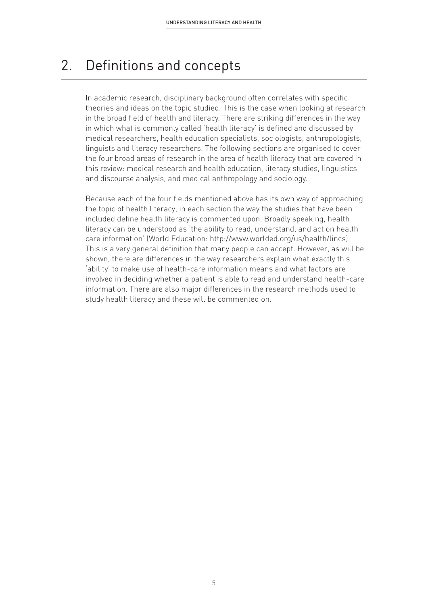### 2. Definitions and concepts

In academic research, disciplinary background often correlates with specific theories and ideas on the topic studied. This is the case when looking at research in the broad field of health and literacy. There are striking differences in the way in which what is commonly called 'health literacy' is defined and discussed by medical researchers, health education specialists, sociologists, anthropologists, linguists and literacy researchers. The following sections are organised to cover the four broad areas of research in the area of health literacy that are covered in this review: medical research and health education, literacy studies, linguistics and discourse analysis, and medical anthropology and sociology.

Because each of the four fields mentioned above has its own way of approaching the topic of health literacy, in each section the way the studies that have been included define health literacy is commented upon. Broadly speaking, health literacy can be understood as 'the ability to read, understand, and act on health care information' (World Education: http://www.worlded.org/us/health/lincs). This is a very general definition that many people can accept. However, as will be shown, there are differences in the way researchers explain what exactly this 'ability' to make use of health-care information means and what factors are involved in deciding whether a patient is able to read and understand health-care information. There are also major differences in the research methods used to study health literacy and these will be commented on.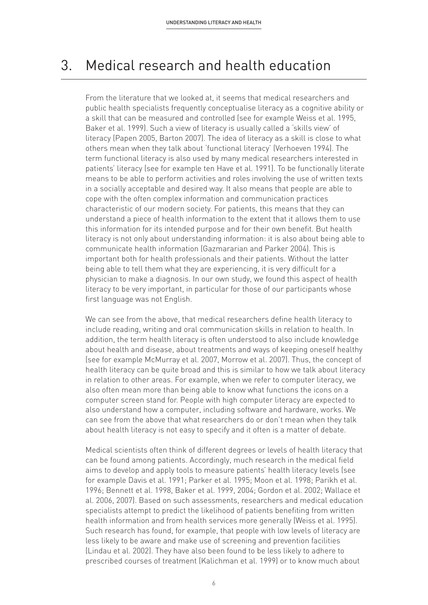### 3. Medical research and health education

From the literature that we looked at, it seems that medical researchers and public health specialists frequently conceptualise literacy as a cognitive ability or a skill that can be measured and controlled (see for example Weiss et al. 1995, Baker et al. 1999). Such a view of literacy is usually called a 'skills view' of literacy (Papen 2005, Barton 2007). The idea of literacy as a skill is close to what others mean when they talk about 'functional literacy' (Verhoeven 1994). The term functional literacy is also used by many medical researchers interested in patients' literacy (see for example ten Have et al. 1991). To be functionally literate means to be able to perform activities and roles involving the use of written texts in a socially acceptable and desired way. It also means that people are able to cope with the often complex information and communication practices characteristic of our modern society. For patients, this means that they can understand a piece of health information to the extent that it allows them to use this information for its intended purpose and for their own benefit. But health literacy is not only about understanding information: it is also about being able to communicate health information (Gazmararian and Parker 2004). This is important both for health professionals and their patients. Without the latter being able to tell them what they are experiencing, it is very difficult for a physician to make a diagnosis. In our own study, we found this aspect of health literacy to be very important, in particular for those of our participants whose first language was not English.

We can see from the above, that medical researchers define health literacy to include reading, writing and oral communication skills in relation to health. In addition, the term health literacy is often understood to also include knowledge about health and disease, about treatments and ways of keeping oneself healthy (see for example McMurray et al. 2007, Morrow et al. 2007). Thus, the concept of health literacy can be quite broad and this is similar to how we talk about literacy in relation to other areas. For example, when we refer to computer literacy, we also often mean more than being able to know what functions the icons on a computer screen stand for. People with high computer literacy are expected to also understand how a computer, including software and hardware, works. We can see from the above that what researchers do or don't mean when they talk about health literacy is not easy to specify and it often is a matter of debate.

Medical scientists often think of different degrees or levels of health literacy that can be found among patients. Accordingly, much research in the medical field aims to develop and apply tools to measure patients' health literacy levels (see for example Davis et al. 1991; Parker et al. 1995; Moon et al. 1998; Parikh et al. 1996; Bennett et al. 1998, Baker et al. 1999, 2004; Gordon et al. 2002; Wallace et al. 2006, 2007). Based on such assessments, researchers and medical education specialists attempt to predict the likelihood of patients benefiting from written health information and from health services more generally (Weiss et al. 1995). Such research has found, for example, that people with low levels of literacy are less likely to be aware and make use of screening and prevention facilities (Lindau et al. 2002). They have also been found to be less likely to adhere to prescribed courses of treatment (Kalichman et al. 1999) or to know much about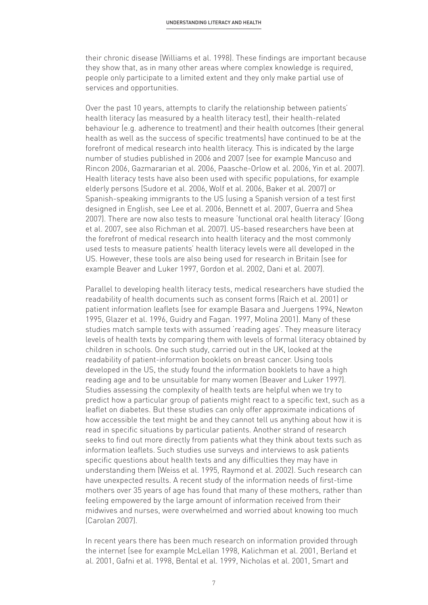their chronic disease (Williams et al. 1998). These findings are important because they show that, as in many other areas where complex knowledge is required, people only participate to a limited extent and they only make partial use of services and opportunities.

Over the past 10 years, attempts to clarify the relationship between patients' health literacy (as measured by a health literacy test), their health-related behaviour (e.g. adherence to treatment) and their health outcomes (their general health as well as the success of specific treatments) have continued to be at the forefront of medical research into health literacy. This is indicated by the large number of studies published in 2006 and 2007 (see for example Mancuso and Rincon 2006, Gazmararian et al. 2006, Paasche-Orlow et al. 2006, Yin et al. 2007). Health literacy tests have also been used with specific populations, for example elderly persons (Sudore et al. 2006, Wolf et al. 2006, Baker et al. 2007) or Spanish-speaking immigrants to the US (using a Spanish version of a test first designed in English, see Lee et al. 2006, Bennett et al. 2007, Guerra and Shea 2007). There are now also tests to measure 'functional oral health literacy' (Gong et al. 2007, see also Richman et al. 2007). US-based researchers have been at the forefront of medical research into health literacy and the most commonly used tests to measure patients' health literacy levels were all developed in the US. However, these tools are also being used for research in Britain (see for example Beaver and Luker 1997, Gordon et al. 2002, Dani et al. 2007).

Parallel to developing health literacy tests, medical researchers have studied the readability of health documents such as consent forms (Raich et al. 2001) or patient information leaflets (see for example Basara and Juergens 1994, Newton 1995, Glazer et al. 1996, Guidry and Fagan. 1997, Molina 2001). Many of these studies match sample texts with assumed 'reading ages'. They measure literacy levels of health texts by comparing them with levels of formal literacy obtained by children in schools. One such study, carried out in the UK, looked at the readability of patient-information booklets on breast cancer. Using tools developed in the US, the study found the information booklets to have a high reading age and to be unsuitable for many women (Beaver and Luker 1997). Studies assessing the complexity of health texts are helpful when we try to predict how a particular group of patients might react to a specific text, such as a leaflet on diabetes. But these studies can only offer approximate indications of how accessible the text might be and they cannot tell us anything about how it is read in specific situations by particular patients. Another strand of research seeks to find out more directly from patients what they think about texts such as information leaflets. Such studies use surveys and interviews to ask patients specific questions about health texts and any difficulties they may have in understanding them (Weiss et al. 1995, Raymond et al. 2002). Such research can have unexpected results. A recent study of the information needs of first-time mothers over 35 years of age has found that many of these mothers, rather than feeling empowered by the large amount of information received from their midwives and nurses, were overwhelmed and worried about knowing too much (Carolan 2007).

In recent years there has been much research on information provided through the internet (see for example McLellan 1998, Kalichman et al. 2001, Berland et al. 2001, Gafni et al. 1998, Bental et al. 1999, Nicholas et al. 2001, Smart and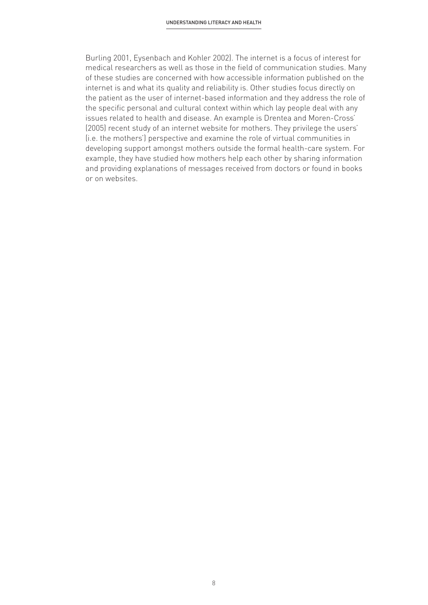Burling 2001, Eysenbach and Kohler 2002). The internet is a focus of interest for medical researchers as well as those in the field of communication studies. Many of these studies are concerned with how accessible information published on the internet is and what its quality and reliability is. Other studies focus directly on the patient as the user of internet-based information and they address the role of the specific personal and cultural context within which lay people deal with any issues related to health and disease. An example is Drentea and Moren-Cross' (2005) recent study of an internet website for mothers. They privilege the users' (i.e. the mothers') perspective and examine the role of virtual communities in developing support amongst mothers outside the formal health-care system. For example, they have studied how mothers help each other by sharing information and providing explanations of messages received from doctors or found in books or on websites.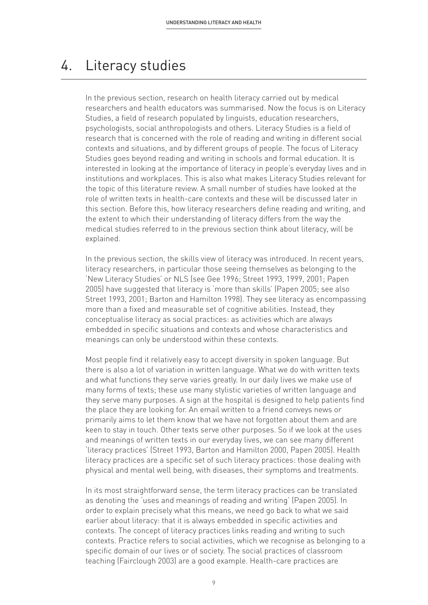### 4. Literacy studies

In the previous section, research on health literacy carried out by medical researchers and health educators was summarised. Now the focus is on Literacy Studies, a field of research populated by linguists, education researchers, psychologists, social anthropologists and others. Literacy Studies is a field of research that is concerned with the role of reading and writing in different social contexts and situations, and by different groups of people. The focus of Literacy Studies goes beyond reading and writing in schools and formal education. It is interested in looking at the importance of literacy in people's everyday lives and in institutions and workplaces. This is also what makes Literacy Studies relevant for the topic of this literature review. A small number of studies have looked at the role of written texts in health-care contexts and these will be discussed later in this section. Before this, how literacy researchers define reading and writing, and the extent to which their understanding of literacy differs from the way the medical studies referred to in the previous section think about literacy, will be explained.

In the previous section, the skills view of literacy was introduced. In recent years, literacy researchers, in particular those seeing themselves as belonging to the 'New Literacy Studies' or NLS (see Gee 1996; Street 1993, 1999, 2001; Papen 2005) have suggested that literacy is 'more than skills' (Papen 2005; see also Street 1993, 2001; Barton and Hamilton 1998). They see literacy as encompassing more than a fixed and measurable set of cognitive abilities. Instead, they conceptualise literacy as social practices: as activities which are always embedded in specific situations and contexts and whose characteristics and meanings can only be understood within these contexts.

Most people find it relatively easy to accept diversity in spoken language. But there is also a lot of variation in written language. What we do with written texts and what functions they serve varies greatly. In our daily lives we make use of many forms of texts; these use many stylistic varieties of written language and they serve many purposes. A sign at the hospital is designed to help patients find the place they are looking for. An email written to a friend conveys news or primarily aims to let them know that we have not forgotten about them and are keen to stay in touch. Other texts serve other purposes. So if we look at the uses and meanings of written texts in our everyday lives, we can see many different 'literacy practices' (Street 1993, Barton and Hamilton 2000, Papen 2005). Health literacy practices are a specific set of such literacy practices: those dealing with physical and mental well being, with diseases, their symptoms and treatments.

In its most straightforward sense, the term literacy practices can be translated as denoting the 'uses and meanings of reading and writing' (Papen 2005). In order to explain precisely what this means, we need go back to what we said earlier about literacy: that it is always embedded in specific activities and contexts. The concept of literacy practices links reading and writing to such contexts. Practice refers to social activities, which we recognise as belonging to a specific domain of our lives or of society. The social practices of classroom teaching (Fairclough 2003) are a good example. Health-care practices are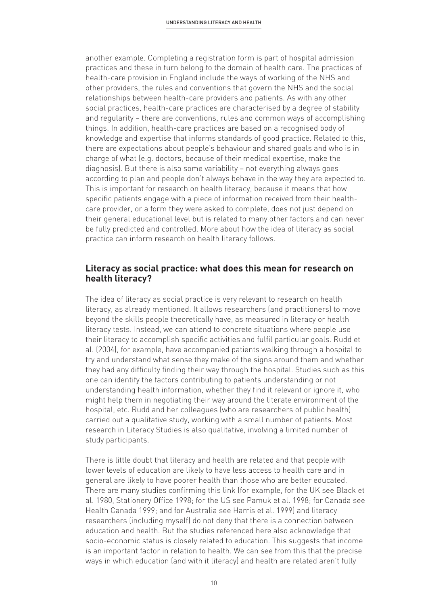another example. Completing a registration form is part of hospital admission practices and these in turn belong to the domain of health care. The practices of health-care provision in England include the ways of working of the NHS and other providers, the rules and conventions that govern the NHS and the social relationships between health-care providers and patients. As with any other social practices, health-care practices are characterised by a degree of stability and regularity – there are conventions, rules and common ways of accomplishing things. In addition, health-care practices are based on a recognised body of knowledge and expertise that informs standards of good practice. Related to this, there are expectations about people's behaviour and shared goals and who is in charge of what (e.g. doctors, because of their medical expertise, make the diagnosis). But there is also some variability – not everything always goes according to plan and people don't always behave in the way they are expected to. This is important for research on health literacy, because it means that how specific patients engage with a piece of information received from their healthcare provider, or a form they were asked to complete, does not just depend on their general educational level but is related to many other factors and can never be fully predicted and controlled. More about how the idea of literacy as social practice can inform research on health literacy follows.

#### **Literacy as social practice: what does this mean for research on health literacy?**

The idea of literacy as social practice is very relevant to research on health literacy, as already mentioned. It allows researchers (and practitioners) to move beyond the skills people theoretically have, as measured in literacy or health literacy tests. Instead, we can attend to concrete situations where people use their literacy to accomplish specific activities and fulfil particular goals. Rudd et al. (2004), for example, have accompanied patients walking through a hospital to try and understand what sense they make of the signs around them and whether they had any difficulty finding their way through the hospital. Studies such as this one can identify the factors contributing to patients understanding or not understanding health information, whether they find it relevant or ignore it, who might help them in negotiating their way around the literate environment of the hospital, etc. Rudd and her colleagues (who are researchers of public health) carried out a qualitative study, working with a small number of patients. Most research in Literacy Studies is also qualitative, involving a limited number of study participants.

There is little doubt that literacy and health are related and that people with lower levels of education are likely to have less access to health care and in general are likely to have poorer health than those who are better educated. There are many studies confirming this link (for example, for the UK see Black et al. 1980, Stationery Office 1998; for the US see Pamuk et al. 1998; for Canada see Health Canada 1999; and for Australia see Harris et al. 1999) and literacy researchers (including myself) do not deny that there is a connection between education and health. But the studies referenced here also acknowledge that socio-economic status is closely related to education. This suggests that income is an important factor in relation to health. We can see from this that the precise ways in which education (and with it literacy) and health are related aren't fully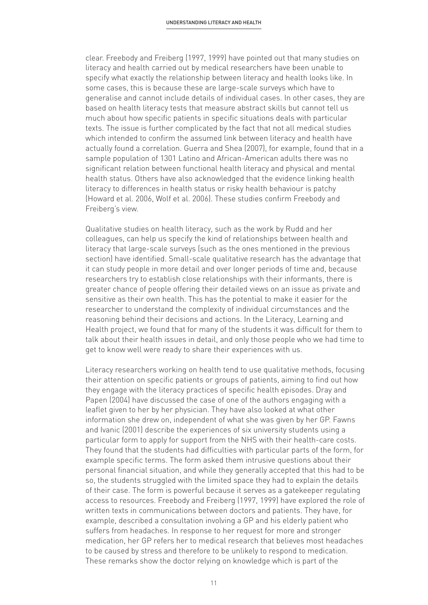clear. Freebody and Freiberg (1997, 1999) have pointed out that many studies on literacy and health carried out by medical researchers have been unable to specify what exactly the relationship between literacy and health looks like. In some cases, this is because these are large-scale surveys which have to generalise and cannot include details of individual cases. In other cases, they are based on health literacy tests that measure abstract skills but cannot tell us much about how specific patients in specific situations deals with particular texts. The issue is further complicated by the fact that not all medical studies which intended to confirm the assumed link between literacy and health have actually found a correlation. Guerra and Shea (2007), for example, found that in a sample population of 1301 Latino and African-American adults there was no significant relation between functional health literacy and physical and mental health status. Others have also acknowledged that the evidence linking health literacy to differences in health status or risky health behaviour is patchy (Howard et al. 2006, Wolf et al. 2006). These studies confirm Freebody and Freiberg's view.

Qualitative studies on health literacy, such as the work by Rudd and her colleagues, can help us specify the kind of relationships between health and literacy that large-scale surveys (such as the ones mentioned in the previous section) have identified. Small-scale qualitative research has the advantage that it can study people in more detail and over longer periods of time and, because researchers try to establish close relationships with their informants, there is greater chance of people offering their detailed views on an issue as private and sensitive as their own health. This has the potential to make it easier for the researcher to understand the complexity of individual circumstances and the reasoning behind their decisions and actions. In the Literacy, Learning and Health project, we found that for many of the students it was difficult for them to talk about their health issues in detail, and only those people who we had time to get to know well were ready to share their experiences with us.

Literacy researchers working on health tend to use qualitative methods, focusing their attention on specific patients or groups of patients, aiming to find out how they engage with the literacy practices of specific health episodes. Dray and Papen (2004) have discussed the case of one of the authors engaging with a leaflet given to her by her physician. They have also looked at what other information she drew on, independent of what she was given by her GP. Fawns and Ivanic (2001) describe the experiences of six university students using a particular form to apply for support from the NHS with their health-care costs. They found that the students had difficulties with particular parts of the form, for example specific terms. The form asked them intrusive questions about their personal financial situation, and while they generally accepted that this had to be so, the students struggled with the limited space they had to explain the details of their case. The form is powerful because it serves as a gatekeeper regulating access to resources. Freebody and Freiberg (1997, 1999) have explored the role of written texts in communications between doctors and patients. They have, for example, described a consultation involving a GP and his elderly patient who suffers from headaches. In response to her request for more and stronger medication, her GP refers her to medical research that believes most headaches to be caused by stress and therefore to be unlikely to respond to medication. These remarks show the doctor relying on knowledge which is part of the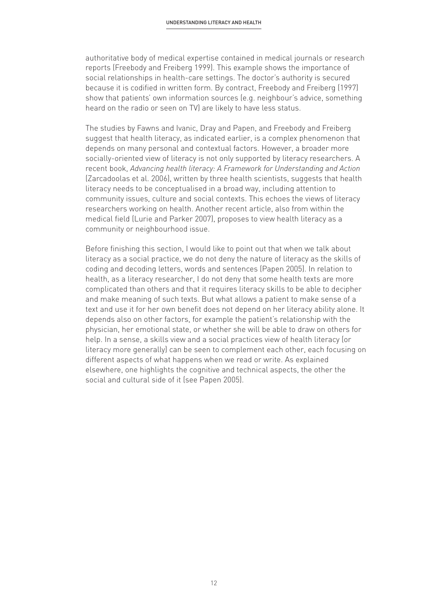authoritative body of medical expertise contained in medical journals or research reports (Freebody and Freiberg 1999). This example shows the importance of social relationships in health-care settings. The doctor's authority is secured because it is codified in written form. By contract, Freebody and Freiberg (1997) show that patients' own information sources (e.g. neighbour's advice, something heard on the radio or seen on TV) are likely to have less status.

The studies by Fawns and Ivanic, Dray and Papen, and Freebody and Freiberg suggest that health literacy, as indicated earlier, is a complex phenomenon that depends on many personal and contextual factors. However, a broader more socially-oriented view of literacy is not only supported by literacy researchers. A recent book, *Advancing health literacy: A Framework for Understanding and Action* (Zarcadoolas et al. 2006), written by three health scientists, suggests that health literacy needs to be conceptualised in a broad way, including attention to community issues, culture and social contexts. This echoes the views of literacy researchers working on health. Another recent article, also from within the medical field (Lurie and Parker 2007), proposes to view health literacy as a community or neighbourhood issue.

Before finishing this section, I would like to point out that when we talk about literacy as a social practice, we do not deny the nature of literacy as the skills of coding and decoding letters, words and sentences (Papen 2005). In relation to health, as a literacy researcher, I do not deny that some health texts are more complicated than others and that it requires literacy skills to be able to decipher and make meaning of such texts. But what allows a patient to make sense of a text and use it for her own benefit does not depend on her literacy ability alone. It depends also on other factors, for example the patient's relationship with the physician, her emotional state, or whether she will be able to draw on others for help. In a sense, a skills view and a social practices view of health literacy (or literacy more generally) can be seen to complement each other, each focusing on different aspects of what happens when we read or write. As explained elsewhere, one highlights the cognitive and technical aspects, the other the social and cultural side of it (see Papen 2005).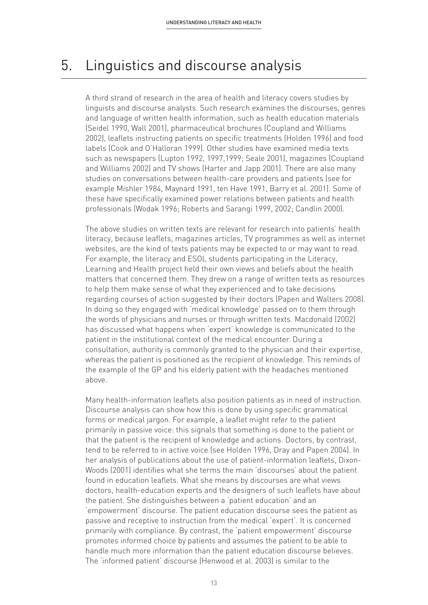### 5. Linguistics and discourse analysis

A third strand of research in the area of health and literacy covers studies by linguists and discourse analysts. Such research examines the discourses, genres and language of written health information, such as health education materials (Seidel 1990, Wall 2001), pharmaceutical brochures (Coupland and Williams 2002), leaflets instructing patients on specific treatments (Holden 1996) and food labels (Cook and O'Halloran 1999). Other studies have examined media texts such as newspapers (Lupton 1992, 1997,1999; Seale 2001), magazines (Coupland and Williams 2002) and TV shows (Harter and Japp 2001). There are also many studies on conversations between health-care providers and patients (see for example Mishler 1984, Maynard 1991, ten Have 1991, Barry et al. 2001). Some of these have specifically examined power relations between patients and health professionals (Wodak 1996; Roberts and Sarangi 1999, 2002; Candlin 2000).

The above studies on written texts are relevant for research into patients' health literacy, because leaflets, magazines articles, TV programmes as well as internet websites, are the kind of texts patients may be expected to or may want to read. For example, the literacy and ESOL students participating in the Literacy, Learning and Health project held their own views and beliefs about the health matters that concerned them. They drew on a range of written texts as resources to help them make sense of what they experienced and to take decisions regarding courses of action suggested by their doctors (Papen and Walters 2008). In doing so they engaged with 'medical knowledge' passed on to them through the words of physicians and nurses or through written texts. Macdonald (2002) has discussed what happens when 'expert' knowledge is communicated to the patient in the institutional context of the medical encounter. During a consultation, authority is commonly granted to the physician and their expertise, whereas the patient is positioned as the recipient of knowledge. This reminds of the example of the GP and his elderly patient with the headaches mentioned above.

Many health-information leaflets also position patients as in need of instruction. Discourse analysis can show how this is done by using specific grammatical forms or medical jargon. For example, a leaflet might refer to the patient primarily in passive voice: this signals that something is done to the patient or that the patient is the recipient of knowledge and actions. Doctors, by contrast, tend to be referred to in active voice (see Holden 1996, Dray and Papen 2004). In her analysis of publications about the use of patient-information leaflets, Dixon-Woods (2001) identifies what she terms the main 'discourses' about the patient found in education leaflets. What she means by discourses are what views doctors, health-education experts and the designers of such leaflets have about the patient. She distinguishes between a 'patient education' and an 'empowerment' discourse. The patient education discourse sees the patient as passive and receptive to instruction from the medical 'expert'. It is concerned primarily with compliance. By contrast, the 'patient empowerment' discourse promotes informed choice by patients and assumes the patient to be able to handle much more information than the patient education discourse believes. The 'informed patient' discourse (Henwood et al. 2003) is similar to the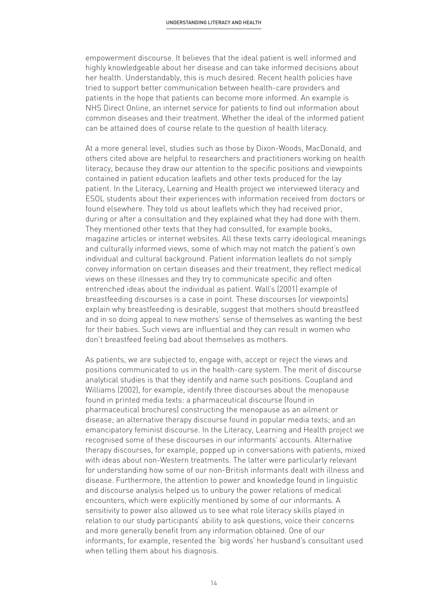empowerment discourse. It believes that the ideal patient is well informed and highly knowledgeable about her disease and can take informed decisions about her health. Understandably, this is much desired. Recent health policies have tried to support better communication between health-care providers and patients in the hope that patients can become more informed. An example is NHS Direct Online, an internet service for patients to find out information about common diseases and their treatment. Whether the ideal of the informed patient can be attained does of course relate to the question of health literacy.

At a more general level, studies such as those by Dixon-Woods, MacDonald, and others cited above are helpful to researchers and practitioners working on health literacy, because they draw our attention to the specific positions and viewpoints contained in patient education leaflets and other texts produced for the lay patient. In the Literacy, Learning and Health project we interviewed literacy and ESOL students about their experiences with information received from doctors or found elsewhere. They told us about leaflets which they had received prior, during or after a consultation and they explained what they had done with them. They mentioned other texts that they had consulted, for example books, magazine articles or internet websites. All these texts carry ideological meanings and culturally informed views, some of which may not match the patient's own individual and cultural background. Patient information leaflets do not simply convey information on certain diseases and their treatment, they reflect medical views on these illnesses and they try to communicate specific and often entrenched ideas about the individual as patient. Wall's (2001) example of breastfeeding discourses is a case in point. These discourses (or viewpoints) explain why breastfeeding is desirable, suggest that mothers should breastfeed and in so doing appeal to new mothers' sense of themselves as wanting the best for their babies. Such views are influential and they can result in women who don't breastfeed feeling bad about themselves as mothers.

As patients, we are subjected to, engage with, accept or reject the views and positions communicated to us in the health-care system. The merit of discourse analytical studies is that they identify and name such positions. Coupland and Williams (2002), for example, identify three discourses about the menopause found in printed media texts: a pharmaceutical discourse (found in pharmaceutical brochures) constructing the menopause as an ailment or disease; an alternative therapy discourse found in popular media texts; and an emancipatory feminist discourse. In the Literacy, Learning and Health project we recognised some of these discourses in our informants' accounts. Alternative therapy discourses, for example, popped up in conversations with patients, mixed with ideas about non-Western treatments. The latter were particularly relevant for understanding how some of our non-British informants dealt with illness and disease. Furthermore, the attention to power and knowledge found in linguistic and discourse analysis helped us to unbury the power relations of medical encounters, which were explicitly mentioned by some of our informants. A sensitivity to power also allowed us to see what role literacy skills played in relation to our study participants' ability to ask questions, voice their concerns and more generally benefit from any information obtained. One of our informants, for example, resented the 'big words' her husband's consultant used when telling them about his diagnosis.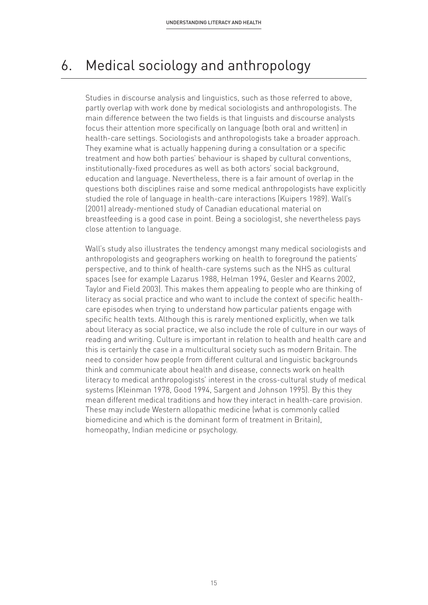### 6. Medical sociology and anthropology

Studies in discourse analysis and linguistics, such as those referred to above, partly overlap with work done by medical sociologists and anthropologists. The main difference between the two fields is that linguists and discourse analysts focus their attention more specifically on language (both oral and written) in health-care settings. Sociologists and anthropologists take a broader approach. They examine what is actually happening during a consultation or a specific treatment and how both parties' behaviour is shaped by cultural conventions, institutionally-fixed procedures as well as both actors' social background, education and language. Nevertheless, there is a fair amount of overlap in the questions both disciplines raise and some medical anthropologists have explicitly studied the role of language in health-care interactions (Kuipers 1989). Wall's (2001) already-mentioned study of Canadian educational material on breastfeeding is a good case in point. Being a sociologist, she nevertheless pays close attention to language.

Wall's study also illustrates the tendency amongst many medical sociologists and anthropologists and geographers working on health to foreground the patients' perspective, and to think of health-care systems such as the NHS as cultural spaces (see for example Lazarus 1988, Helman 1994, Gesler and Kearns 2002, Taylor and Field 2003). This makes them appealing to people who are thinking of literacy as social practice and who want to include the context of specific healthcare episodes when trying to understand how particular patients engage with specific health texts. Although this is rarely mentioned explicitly, when we talk about literacy as social practice, we also include the role of culture in our ways of reading and writing. Culture is important in relation to health and health care and this is certainly the case in a multicultural society such as modern Britain. The need to consider how people from different cultural and linguistic backgrounds think and communicate about health and disease, connects work on health literacy to medical anthropologists' interest in the cross-cultural study of medical systems (Kleinman 1978, Good 1994, Sargent and Johnson 1995). By this they mean different medical traditions and how they interact in health-care provision. These may include Western allopathic medicine (what is commonly called biomedicine and which is the dominant form of treatment in Britain), homeopathy, Indian medicine or psychology.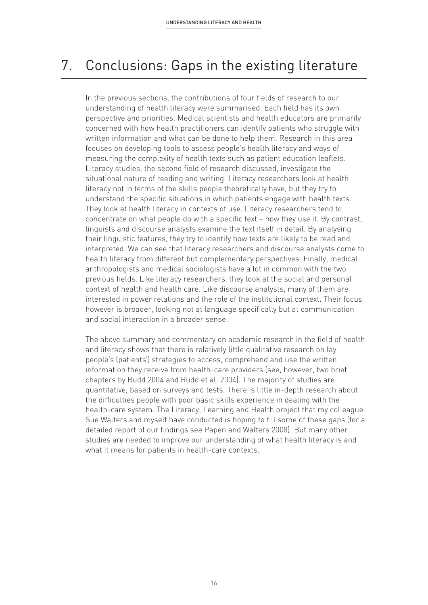### 7. Conclusions: Gaps in the existing literature

In the previous sections, the contributions of four fields of research to our understanding of health literacy were summarised. Each field has its own perspective and priorities. Medical scientists and health educators are primarily concerned with how health practitioners can identify patients who struggle with written information and what can be done to help them. Research in this area focuses on developing tools to assess people's health literacy and ways of measuring the complexity of health texts such as patient education leaflets. Literacy studies, the second field of research discussed, investigate the situational nature of reading and writing. Literacy researchers look at health literacy not in terms of the skills people theoretically have, but they try to understand the specific situations in which patients engage with health texts. They look at health literacy in contexts of use. Literacy researchers tend to concentrate on what people do with a specific text – how they use it. By contrast, linguists and discourse analysts examine the text itself in detail. By analysing their linguistic features, they try to identify how texts are likely to be read and interpreted. We can see that literacy researchers and discourse analysts come to health literacy from different but complementary perspectives. Finally, medical anthropologists and medical sociologists have a lot in common with the two previous fields. Like literacy researchers, they look at the social and personal context of health and health care. Like discourse analysts, many of them are interested in power relations and the role of the institutional context. Their focus however is broader, looking not at language specifically but at communication and social interaction in a broader sense.

The above summary and commentary on academic research in the field of health and literacy shows that there is relatively little qualitative research on lay people's (patients') strategies to access, comprehend and use the written information they receive from health-care providers (see, however, two brief chapters by Rudd 2004 and Rudd et al. 2004). The majority of studies are quantitative, based on surveys and tests. There is little in-depth research about the difficulties people with poor basic skills experience in dealing with the health-care system. The Literacy, Learning and Health project that my colleague Sue Walters and myself have conducted is hoping to fill some of these gaps (for a detailed report of our findings see Papen and Walters 2008). But many other studies are needed to improve our understanding of what health literacy is and what it means for patients in health-care contexts.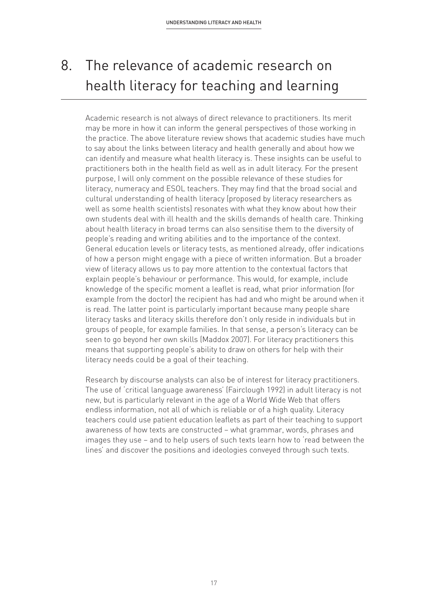# 8. The relevance of academic research on health literacy for teaching and learning

Academic research is not always of direct relevance to practitioners. Its merit may be more in how it can inform the general perspectives of those working in the practice. The above literature review shows that academic studies have much to say about the links between literacy and health generally and about how we can identify and measure what health literacy is. These insights can be useful to practitioners both in the health field as well as in adult literacy. For the present purpose, I will only comment on the possible relevance of these studies for literacy, numeracy and ESOL teachers. They may find that the broad social and cultural understanding of health literacy (proposed by literacy researchers as well as some health scientists) resonates with what they know about how their own students deal with ill health and the skills demands of health care. Thinking about health literacy in broad terms can also sensitise them to the diversity of people's reading and writing abilities and to the importance of the context. General education levels or literacy tests, as mentioned already, offer indications of how a person might engage with a piece of written information. But a broader view of literacy allows us to pay more attention to the contextual factors that explain people's behaviour or performance. This would, for example, include knowledge of the specific moment a leaflet is read, what prior information (for example from the doctor) the recipient has had and who might be around when it is read. The latter point is particularly important because many people share literacy tasks and literacy skills therefore don't only reside in individuals but in groups of people, for example families. In that sense, a person's literacy can be seen to go beyond her own skills (Maddox 2007). For literacy practitioners this means that supporting people's ability to draw on others for help with their literacy needs could be a goal of their teaching.

Research by discourse analysts can also be of interest for literacy practitioners. The use of 'critical language awareness' (Fairclough 1992) in adult literacy is not new, but is particularly relevant in the age of a World Wide Web that offers endless information, not all of which is reliable or of a high quality. Literacy teachers could use patient education leaflets as part of their teaching to support awareness of how texts are constructed – what grammar, words, phrases and images they use – and to help users of such texts learn how to 'read between the lines' and discover the positions and ideologies conveyed through such texts.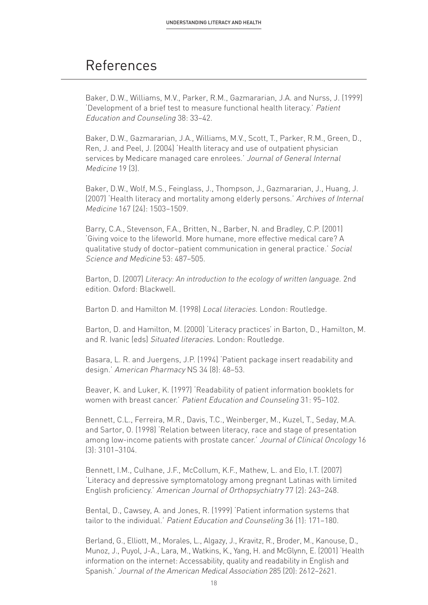### References

Baker, D.W., Williams, M.V., Parker, R.M., Gazmararian, J.A. and Nurss, J. (1999) 'Development of a brief test to measure functional health literacy.' Patient Education and Counseling 38: 33–42.

Baker, D.W., Gazmararian, J.A., Williams, M.V., Scott, T., Parker, R.M., Green, D., Ren, J. and Peel, J. (2004) 'Health literacy and use of outpatient physician services by Medicare managed care enrolees.' Journal of General Internal Medicine 19 (3).

Baker, D.W., Wolf, M.S., Feinglass, J., Thompson, J., Gazmararian, J., Huang, J. (2007) 'Health literacy and mortality among elderly persons.' Archives of Internal Medicine 167 (24): 1503–1509.

Barry, C.A., Stevenson, F.A., Britten, N., Barber, N. and Bradley, C.P. (2001) 'Giving voice to the lifeworld. More humane, more effective medical care? A qualitative study of doctor–patient communication in general practice.' Social Science and Medicine 53: 487–505.

Barton, D. (2007) *Literacy: An introduction to the ecology of written language.* 2nd edition. Oxford: Blackwell.

Barton D. and Hamilton M. (1998) Local literacies. London: Routledge.

Barton, D. and Hamilton, M. (2000) 'Literacy practices' in Barton, D., Hamilton, M. and R. Ivanic (eds) Situated literacies. London: Routledge.

Basara, L. R. and Juergens, J.P. (1994) 'Patient package insert readability and design.' American Pharmacy NS 34 (8): 48–53.

Beaver, K. and Luker, K. (1997) 'Readability of patient information booklets for women with breast cancer.' Patient Education and Counseling 31: 95–102.

Bennett, C.L., Ferreira, M.R., Davis, T.C., Weinberger, M., Kuzel, T., Seday, M.A. and Sartor, O. (1998) 'Relation between literacy, race and stage of presentation among low-income patients with prostate cancer.' Journal of Clinical Oncology 16 (3): 3101–3104.

Bennett, I.M., Culhane, J.F., McCollum, K.F., Mathew, L. and Elo, I.T. (2007) 'Literacy and depressive symptomatology among pregnant Latinas with limited English proficiency.' American Journal of Orthopsychiatry 77 (2): 243–248.

Bental, D., Cawsey, A. and Jones, R. (1999) 'Patient information systems that tailor to the individual.' Patient Education and Counseling 36 (1): 171–180.

Berland, G., Elliott, M., Morales, L., Algazy, J., Kravitz, R., Broder, M., Kanouse, D., Munoz, J., Puyol, J-A., Lara, M., Watkins, K., Yang, H. and McGlynn, E. (2001) 'Health information on the internet: Accessability, quality and readability in English and Spanish.' Journal of the American Medical Association 285 (20): 2612–2621.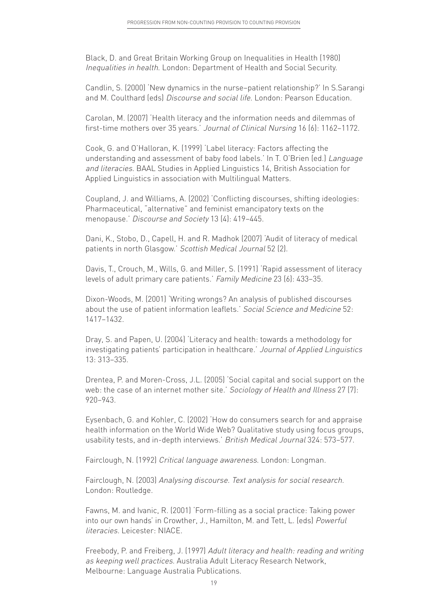Black, D. and Great Britain Working Group on Inequalities in Health (1980) Inequalities in health. London: Department of Health and Social Security.

Candlin, S. (2000) 'New dynamics in the nurse–patient relationship?' In S.Sarangi and M. Coulthard (eds) Discourse and social life. London: Pearson Education.

Carolan, M. (2007) 'Health literacy and the information needs and dilemmas of first-time mothers over 35 years.' Journal of Clinical Nursing 16 (6): 1162–1172.

Cook, G. and O'Halloran, K. (1999) 'Label literacy: Factors affecting the understanding and assessment of baby food labels.' In T. O'Brien (ed.) Language and literacies. BAAL Studies in Applied Linguistics 14, British Association for Applied Linguistics in association with Multilingual Matters.

Coupland, J. and Williams, A. (2002) 'Conflicting discourses, shifting ideologies: Pharmaceutical, "alternative" and feminist emancipatory texts on the menopause.' Discourse and Society 13 (4): 419–445.

Dani, K., Stobo, D., Capell, H. and R. Madhok (2007) 'Audit of literacy of medical patients in north Glasgow.' Scottish Medical Journal 52 (2).

Davis, T., Crouch, M., Wills, G. and Miller, S. (1991) 'Rapid assessment of literacy levels of adult primary care patients.' Family Medicine 23 (6): 433–35.

Dixon-Woods, M. (2001) 'Writing wrongs? An analysis of published discourses about the use of patient information leaflets.' Social Science and Medicine 52: 1417–1432.

Dray, S. and Papen, U. (2004) 'Literacy and health: towards a methodology for investigating patients' participation in healthcare.' Journal of Applied Linguistics 13: 313–335.

Drentea, P. and Moren-Cross, J.L. (2005) 'Social capital and social support on the web: the case of an internet mother site.' Sociology of Health and Illness 27 (7): 920–943.

Eysenbach, G. and Kohler, C. (2002) 'How do consumers search for and appraise health information on the World Wide Web? Qualitative study using focus groups, usability tests, and in-depth interviews.' British Medical Journal 324: 573–577.

Fairclough, N. (1992) Critical language awareness. London: Longman.

Fairclough, N. (2003) Analysing discourse. Text analysis for social research. London: Routledge.

Fawns, M. and Ivanic, R. (2001) 'Form-filling as a social practice: Taking power into our own hands' in Crowther, J., Hamilton, M. and Tett, L. (eds) Powerful literacies. Leicester: NIACE.

Freebody, P. and Freiberg, J. (1997) Adult literacy and health: reading and writing as keeping well practices. Australia Adult Literacy Research Network, Melbourne: Language Australia Publications.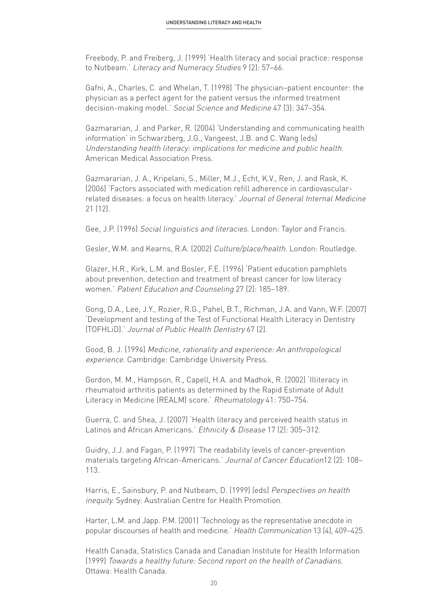Freebody, P. and Freiberg, J. (1999) 'Health literacy and social practice: response to Nutbeam.' Literacy and Numeracy Studies 9 (2): 57–66.

Gafni, A., Charles, C. and Whelan, T. (1998) 'The physician–patient encounter: the physician as a perfect agent for the patient versus the informed treatment decision-making model.' Social Science and Medicine 47 (3): 347–354.

Gazmararian, J. and Parker, R. (2004) 'Understanding and communicating health information' in Schwarzberg, J.G., Vangeest, J.B. and C. Wang (eds) Understanding health literacy: implications for medicine and public health. American Medical Association Press.

Gazmararian, J. A., Kripelani, S., Miller, M.J., Echt, K.V., Ren, J. and Rask, K. (2006) 'Factors associated with medication refill adherence in cardiovascularrelated diseases: a focus on health literacy.' Journal of General Internal Medicine 21 (12).

Gee, J.P. (1996) Social linguistics and literacies. London: Taylor and Francis.

Gesler, W.M. and Kearns, R.A. (2002) Culture/place/health. London: Routledge.

Glazer, H.R., Kirk, L.M. and Bosler, F.E. (1996) 'Patient education pamphlets about prevention, detection and treatment of breast cancer for low literacy women.' Patient Education and Counseling 27 (2): 185–189.

Gong, D.A., Lee, J.Y., Rozier, R.G., Pahel, B.T., Richman, J.A. and Vann, W.F. (2007) 'Development and testing of the Test of Functional Health Literacy in Dentistry (TOFHLiD).' Journal of Public Health Dentistry 67 (2).

Good, B. J. (1994) Medicine, rationality and experience: An anthropological experience. Cambridge: Cambridge University Press.

Gordon, M. M., Hampson, R., Capell, H.A. and Madhok, R. (2002) 'Illiteracy in rheumatoid arthritis patients as determined by the Rapid Estimate of Adult Literacy in Medicine (REALM) score.' Rheumatology 41: 750–754.

Guerra, C. and Shea, J. (2007) 'Health literacy and perceived health status in Latinos and African Americans.' Ethnicity & Disease 17 (2): 305-312.

Guidry, J.J. and Fagan, P. (1997) 'The readability levels of cancer-prevention materials targeting African-Americans.' Journal of Cancer Education12 (2): 108– 113.

Harris, E., Sainsbury, P. and Nutbeam, D. (1999) (eds) Perspectives on health inequity. Sydney: Australian Centre for Health Promotion.

Harter, L.M. and Japp. P.M. (2001) 'Technology as the representative anecdote in popular discourses of health and medicine.' Health Communication 13 (4), 409–425.

Health Canada, Statistics Canada and Canadian Institute for Health Information (1999) Towards a healthy future: Second report on the health of Canadians. Ottawa: Health Canada.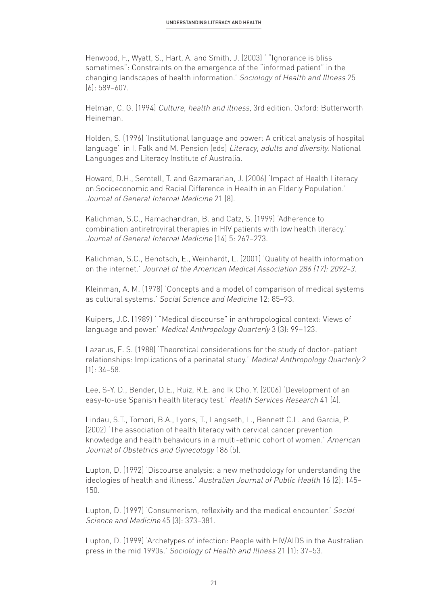Henwood, F., Wyatt, S., Hart, A. and Smith, J. (2003) ' "Ignorance is bliss sometimes": Constraints on the emergence of the "informed patient" in the changing landscapes of health information.' Sociology of Health and Illness 25 (6): 589–607.

Helman, C. G. (1994) Culture, health and illness, 3rd edition. Oxford: Butterworth Heineman.

Holden, S. (1996) 'Institutional language and power: A critical analysis of hospital language' in I. Falk and M. Pension (eds) Literacy, adults and diversity. National Languages and Literacy Institute of Australia.

Howard, D.H., Semtell, T. and Gazmararian, J. (2006) 'Impact of Health Literacy on Socioeconomic and Racial Difference in Health in an Elderly Population.' Journal of General Internal Medicine 21 (8).

Kalichman, S.C., Ramachandran, B. and Catz, S. (1999) 'Adherence to combination antiretroviral therapies in HIV patients with low health literacy.' Journal of General Internal Medicine (14) 5: 267–273.

Kalichman, S.C., Benotsch, E., Weinhardt, L. (2001) 'Quality of health information on the internet.' Journal of the American Medical Association 286 (17): 2092–3.

Kleinman, A. M. (1978) 'Concepts and a model of comparison of medical systems as cultural systems.' Social Science and Medicine 12: 85–93.

Kuipers, J.C. (1989) ' "Medical discourse" in anthropological context: Views of language and power.' Medical Anthropology Quarterly 3 (3): 99-123.

Lazarus, E. S. (1988) 'Theoretical considerations for the study of doctor–patient relationships: Implications of a perinatal study.' Medical Anthropology Quarterly 2 (1): 34–58.

Lee, S-Y. D., Bender, D.E., Ruiz, R.E. and Ik Cho, Y. (2006) 'Development of an easy-to-use Spanish health literacy test.' Health Services Research 41 (4).

Lindau, S.T., Tomori, B.A., Lyons, T., Langseth, L., Bennett C.L. and Garcia, P. (2002) 'The association of health literacy with cervical cancer prevention knowledge and health behaviours in a multi-ethnic cohort of women.' American Journal of Obstetrics and Gynecology 186 (5).

Lupton, D. (1992) 'Discourse analysis: a new methodology for understanding the ideologies of health and illness.' Australian Journal of Public Health 16 (2): 145– 150.

Lupton, D. (1997) 'Consumerism, reflexivity and the medical encounter.' Social Science and Medicine 45 (3): 373–381.

Lupton, D. (1999) 'Archetypes of infection: People with HIV/AIDS in the Australian press in the mid 1990s.' Sociology of Health and Illness 21 (1): 37–53.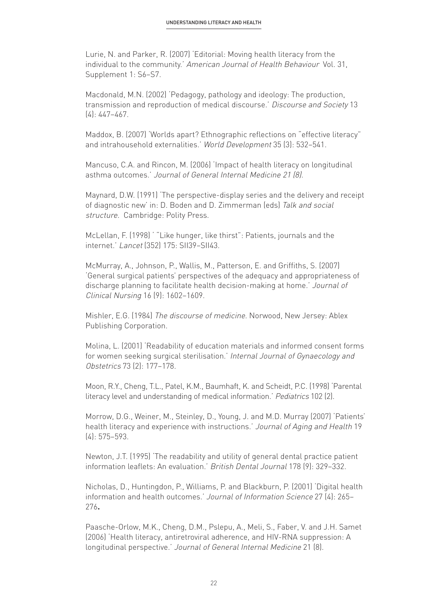Lurie, N. and Parker, R. (2007) 'Editorial: Moving health literacy from the individual to the community.' American Journal of Health Behaviour Vol. 31, Supplement 1: S6–S7.

Macdonald, M.N. (2002) 'Pedagogy, pathology and ideology: The production, transmission and reproduction of medical discourse.' Discourse and Society 13 (4): 447–467.

Maddox, B. (2007) 'Worlds apart? Ethnographic reflections on "effective literacy" and intrahousehold externalities.' World Development 35 (3): 532–541.

Mancuso, C.A. and Rincon, M. (2006) 'Impact of health literacy on longitudinal asthma outcomes.' Journal of General Internal Medicine 21 (8).

Maynard, D.W. (1991) 'The perspective-display series and the delivery and receipt of diagnostic new' in: D. Boden and D. Zimmerman (eds) Talk and social structure. Cambridge: Polity Press.

McLellan, F. (1998) ' "Like hunger, like thirst": Patients, journals and the internet.' Lancet (352) 175: SII39–SII43.

McMurray, A., Johnson, P., Wallis, M., Patterson, E. and Griffiths, S. (2007) 'General surgical patients' perspectives of the adequacy and appropriateness of discharge planning to facilitate health decision-making at home.' Journal of Clinical Nursing 16 (9): 1602–1609.

Mishler, E.G. (1984) The discourse of medicine. Norwood, New Jersey: Ablex Publishing Corporation.

Molina, L. (2001) 'Readability of education materials and informed consent forms for women seeking surgical sterilisation.' Internal Journal of Gynaecology and Obstetrics 73 (2): 177–178.

Moon, R.Y., Cheng, T.L., Patel, K.M., Baumhaft, K. and Scheidt, P.C. (1998) 'Parental literacy level and understanding of medical information.' Pediatrics 102 (2).

Morrow, D.G., Weiner, M., Steinley, D., Young, J. and M.D. Murray (2007) 'Patients' health literacy and experience with instructions.' Journal of Aging and Health 19 (4): 575–593.

Newton, J.T. (1995) 'The readability and utility of general dental practice patient information leaflets: An evaluation.' British Dental Journal 178 (9): 329–332.

Nicholas, D., Huntingdon, P., Williams, P. and Blackburn, P. (2001) 'Digital health information and health outcomes.' Journal of Information Science 27 (4): 265– 276**.**

Paasche-Orlow, M.K., Cheng, D.M., Pslepu, A., Meli, S., Faber, V. and J.H. Samet (2006) 'Health literacy, antiretroviral adherence, and HIV-RNA suppression: A longitudinal perspective.' Journal of General Internal Medicine 21 (8).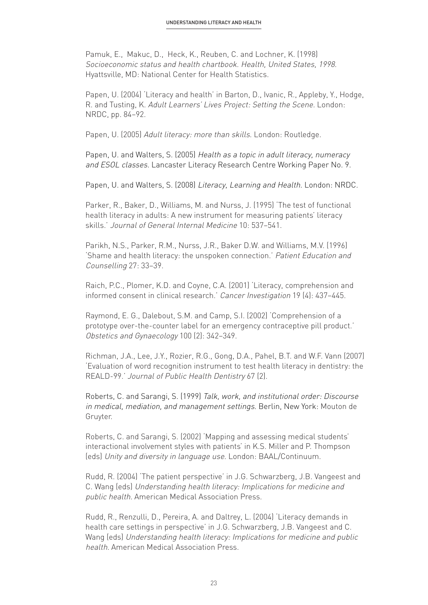Pamuk, E., Makuc, D., Heck, K., Reuben, C. and Lochner, K. (1998) Socioeconomic status and health chartbook. Health, United States, 1998. Hyattsville, MD: National Center for Health Statistics.

Papen, U. (2004) 'Literacy and health' in Barton, D., Ivanic, R., Appleby, Y., Hodge, R. and Tusting, K. Adult Learners' Lives Project: Setting the Scene. London: NRDC, pp. 84–92.

Papen, U. (2005) Adult literacy: more than skills. London: Routledge.

Papen, U. and Walters, S. (2005) Health as a topic in adult literacy, numeracy and ESOL classes. Lancaster Literacy Research Centre Working Paper No. 9.

Papen, U. and Walters, S. (2008) Literacy, Learning and Health. London: NRDC.

Parker, R., Baker, D., Williams, M. and Nurss, J. (1995) 'The test of functional health literacy in adults: A new instrument for measuring patients' literacy skills.' Journal of General Internal Medicine 10: 537–541.

Parikh, N.S., Parker, R.M., Nurss, J.R., Baker D.W. and Williams, M.V. (1996) 'Shame and health literacy: the unspoken connection.' Patient Education and Counselling 27: 33–39.

Raich, P.C., Plomer, K.D. and Coyne, C.A. (2001) 'Literacy, comprehension and informed consent in clinical research.' Cancer Investigation 19 (4): 437–445.

Raymond, E. G., Dalebout, S.M. and Camp, S.I. (2002) 'Comprehension of a prototype over-the-counter label for an emergency contraceptive pill product.' Obstetics and Gynaecology 100 (2): 342–349.

Richman, J.A., Lee, J.Y., Rozier, R.G., Gong, D.A., Pahel, B.T. and W.F. Vann (2007) 'Evaluation of word recognition instrument to test health literacy in dentistry: the REALD-99.' Journal of Public Health Dentistry 67 (2).

Roberts, C. and Sarangi, S. (1999) Talk, work, and institutional order: Discourse in medical, mediation, and management settings. Berlin, New York: Mouton de Gruyter.

Roberts, C. and Sarangi, S. (2002) 'Mapping and assessing medical students' interactional involvement styles with patients' in K.S. Miller and P. Thompson (eds) Unity and diversity in language use. London: BAAL/Continuum.

Rudd, R. (2004) 'The patient perspective' in J.G. Schwarzberg, J.B. Vangeest and C. Wang (eds) Understanding health literacy: Implications for medicine and public health. American Medical Association Press.

Rudd, R., Renzulli, D., Pereira, A. and Daltrey, L. (2004) 'Literacy demands in health care settings in perspective' in J.G. Schwarzberg, J.B. Vangeest and C. Wang (eds) Understanding health literacy: Implications for medicine and public health. American Medical Association Press.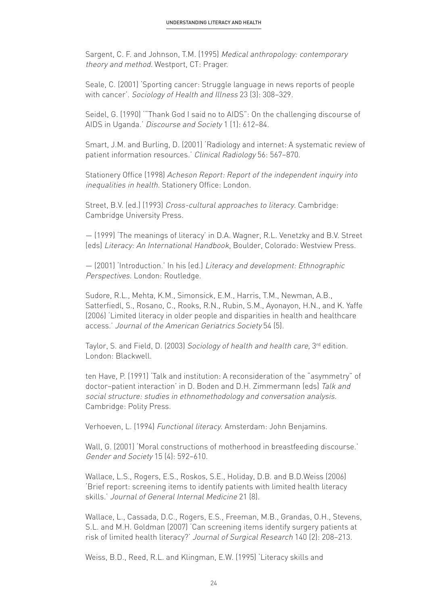Sargent, C. F. and Johnson, T.M. (1995) Medical anthropology: contemporary theory and method. Westport, CT: Prager.

Seale, C. (2001) 'Sporting cancer: Struggle language in news reports of people with cancer'. Sociology of Health and Illness 23 (3): 308–329.

Seidel, G. (1990) '"Thank God I said no to AIDS": On the challenging discourse of AIDS in Uganda.' Discourse and Society 1 (1): 612–84.

Smart, J.M. and Burling, D. (2001) 'Radiology and internet: A systematic review of patient information resources.' Clinical Radiology 56: 567–870.

Stationery Office (1998) Acheson Report: Report of the independent inquiry into inequalities in health. Stationery Office: London.

Street, B.V. (ed.) (1993) Cross-cultural approaches to literacy. Cambridge: Cambridge University Press.

— (1999) 'The meanings of literacy' in D.A. Wagner, R.L. Venetzky and B.V. Street (eds) Literacy: An International Handbook, Boulder, Colorado: Westview Press.

— (2001) 'Introduction.' In his (ed.) Literacy and development: Ethnographic Perspectives. London: Routledge.

Sudore, R.L., Mehta, K.M., Simonsick, E.M., Harris, T.M., Newman, A.B., Satterfiedl, S., Rosano, C., Rooks, R.N., Rubin, S.M., Ayonayon, H.N., and K. Yaffe (2006) 'Limited literacy in older people and disparities in health and healthcare access.' Journal of the American Geriatrics Society 54 (5).

Taylor, S. and Field, D. (2003) Sociology of health and health care, 3<sup>rd</sup> edition. London: Blackwell.

ten Have, P. (1991) 'Talk and institution: A reconsideration of the "asymmetry" of doctor–patient interaction' in D. Boden and D.H. Zimmermann (eds) Talk and social structure: studies in ethnomethodology and conversation analysis. Cambridge: Polity Press.

Verhoeven, L. (1994) Functional literacy. Amsterdam: John Benjamins.

Wall, G. (2001) 'Moral constructions of motherhood in breastfeeding discourse.' Gender and Society 15 (4): 592–610.

Wallace, L.S., Rogers, E.S., Roskos, S.E., Holiday, D.B. and B.D.Weiss (2006) 'Brief report: screening items to identify patients with limited health literacy skills.' Journal of General Internal Medicine 21 (8).

Wallace, L., Cassada, D.C., Rogers, E.S., Freeman, M.B., Grandas, O.H., Stevens, S.L. and M.H. Goldman (2007) 'Can screening items identify surgery patients at risk of limited health literacy?' Journal of Surgical Research 140 (2): 208–213.

Weiss, B.D., Reed, R.L. and Klingman, E.W. (1995) 'Literacy skills and